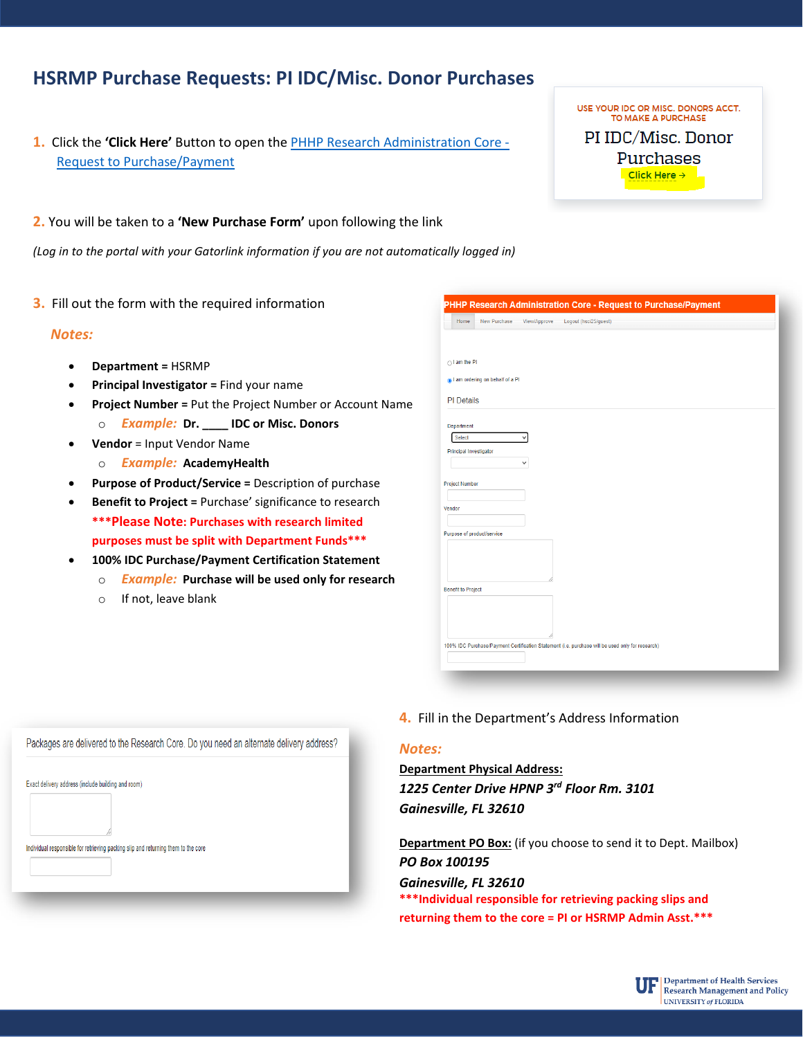# **HSRMP Purchase Requests: PI IDC/Misc. Donor Purchases**

- **1.** Click the **'Click Here'** Button to open the [PHHP Research Administration Core -](https://secure.phhp.ufl.edu/phhp/gc_purchase/?area=c) [Request to Purchase/Payment](https://secure.phhp.ufl.edu/phhp/gc_purchase/?area=c)
- **2.** You will be taken to a **'New Purchase Form'** upon following the link

*(Log in to the portal with your Gatorlink information if you are not automatically logged in)* 

**3.** Fill out the form with the required information

### *Notes:*

- **Department =** HSRMP
- **Principal Investigator =** Find your name
- **Project Number =** Put the Project Number or Account Name
	- o *Example:* **Dr. \_\_\_\_ IDC or Misc. Donors**
- **Vendor** = Input Vendor Name
	- o *Example:* **AcademyHealth**
- **Purpose of Product/Service =** Description of purchase
- **Benefit to Project =** Purchase' significance to research **\*\*\*Please Note: Purchases with research limited purposes must be split with Department Funds\*\*\***
- **100% IDC Purchase/Payment Certification Statement**
- o *Example:* **Purchase will be used only for research**
	- o If not, leave blank

| $\bigcirc$ I am the PI    |                                  |  |  |
|---------------------------|----------------------------------|--|--|
|                           | al am ordering on behalf of a PI |  |  |
| <b>PI</b> Details         |                                  |  |  |
|                           |                                  |  |  |
| Department<br>Select      |                                  |  |  |
| Principal Investigator    |                                  |  |  |
|                           |                                  |  |  |
|                           |                                  |  |  |
| <b>Project Number</b>     |                                  |  |  |
| Vendor                    |                                  |  |  |
|                           |                                  |  |  |
|                           | Purpose of product/service       |  |  |
|                           |                                  |  |  |
|                           |                                  |  |  |
|                           |                                  |  |  |
| <b>Benefit to Project</b> |                                  |  |  |
|                           |                                  |  |  |
|                           |                                  |  |  |

USE YOUR IDC OR MISC. DONORS ACCT. TO MAKE A PURCHASE PI IDC/Misc. Donor Purchases Click Here  $\rightarrow$ 

| Exact delivery address (include building and room)<br>Individual responsible for retrieving packing slip and returning them to the core | Packages are delivered to the Research Core. Do you need an alternate delivery address? |
|-----------------------------------------------------------------------------------------------------------------------------------------|-----------------------------------------------------------------------------------------|
|                                                                                                                                         |                                                                                         |
|                                                                                                                                         |                                                                                         |
|                                                                                                                                         |                                                                                         |
|                                                                                                                                         |                                                                                         |

**4.** Fill in the Department's Address Information

# *Notes:*

# **Department Physical Address:**  *1225 Center Drive HPNP 3rd Floor Rm. 3101 Gainesville, FL 32610*

**Department PO Box:** (if you choose to send it to Dept. Mailbox) *PO Box 100195* 

#### *Gainesville, FL 32610*

**\*\*\*Individual responsible for retrieving packing slips and returning them to the core = PI or HSRMP Admin Asst.\*\*\***

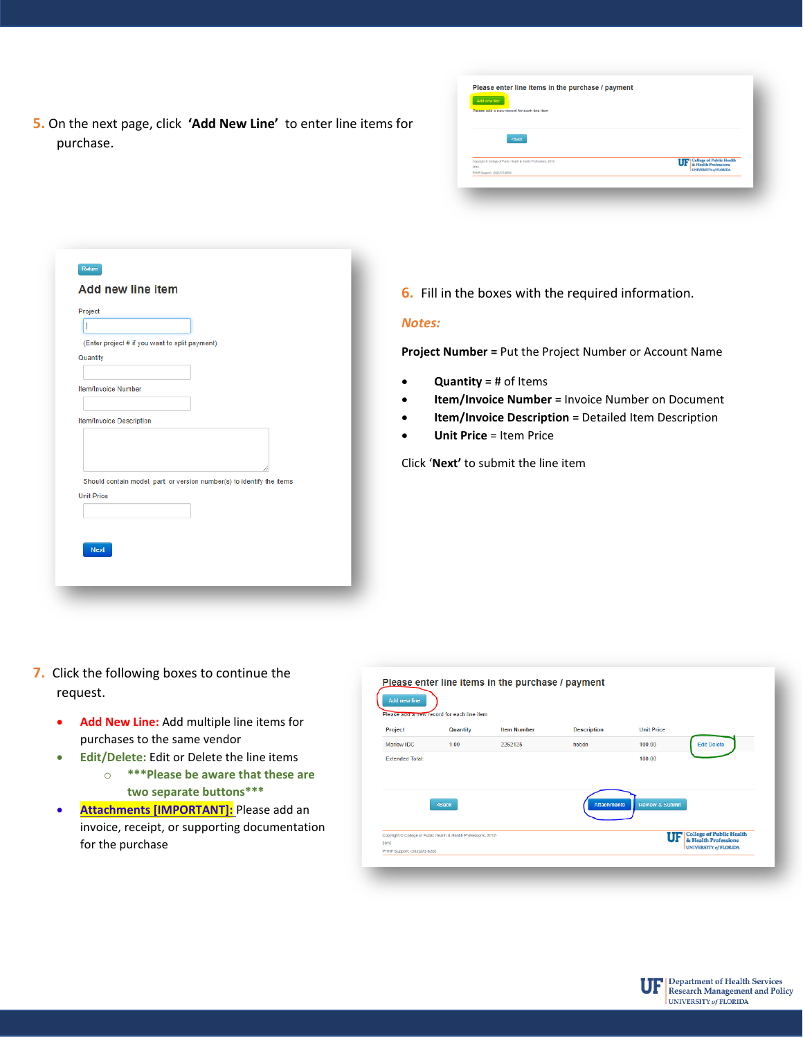**5.** On the next page, click **'Add New Line'** to enter line items for purchase.

| Add new line<br>Please add a new record for each line item                                              |                                                                    |
|---------------------------------------------------------------------------------------------------------|--------------------------------------------------------------------|
| <back< th=""><th></th></back<>                                                                          |                                                                    |
| Copyright © College of Public Health & Health Professions, 2012-<br>2016<br>PHHP Support: (352)273-6200 | <b>UF</b> College of Public Health<br><b>UNIVERSITY of FLORIDA</b> |

|                                 | (Enter project # if you want to split payment)                         |  |  |
|---------------------------------|------------------------------------------------------------------------|--|--|
| Quantity                        |                                                                        |  |  |
| <b>Item/Invoice Number</b>      |                                                                        |  |  |
|                                 |                                                                        |  |  |
| <b>Item/Invoice Description</b> |                                                                        |  |  |
|                                 |                                                                        |  |  |
|                                 |                                                                        |  |  |
|                                 |                                                                        |  |  |
|                                 | Should contain model, part, or version number(s) to identify the items |  |  |
| <b>Unit Price</b>               |                                                                        |  |  |
|                                 |                                                                        |  |  |
|                                 |                                                                        |  |  |
| <b>Next</b>                     |                                                                        |  |  |

**6.** Fill in the boxes with the required information.

# *Notes:*

**Project Number =** Put the Project Number or Account Name

- **Quantity =** # of Items
- **Item/Invoice Number =** Invoice Number on Document
- **Item/Invoice Description =** Detailed Item Description
- **Unit Price** = Item Price

Click '**Next'** to submit the line item

- **7.** Click the following boxes to continue the request.
	- **Add New Line:** Add multiple line items for purchases to the same vendor
	- **Edit/Delete:** Edit or Delete the line items o **\*\*\*Please be aware that these are two separate buttons\*\*\***
	- **Attachments [IMPORTANT]:** Please add an invoice, receipt, or supporting documentation for the purchase

| Add new line           | Please add a new record for each line item | Please enter line items in the purchase / payment |                    |                              |  |
|------------------------|--------------------------------------------|---------------------------------------------------|--------------------|------------------------------|--|
| Project                | Quantity                                   | <b>Item Number</b>                                | <b>Description</b> | <b>Unit Price</b>            |  |
| Marlow IDC             | 1.00                                       | 2252125                                           | hsbdn              | <b>Edit Delete</b><br>100.00 |  |
| <b>Extended Total:</b> |                                            |                                                   |                    | 100.00                       |  |
|                        |                                            |                                                   | <b>Attachments</b> | <b>Review &amp; Submit</b>   |  |
|                        | $Back$                                     |                                                   |                    |                              |  |

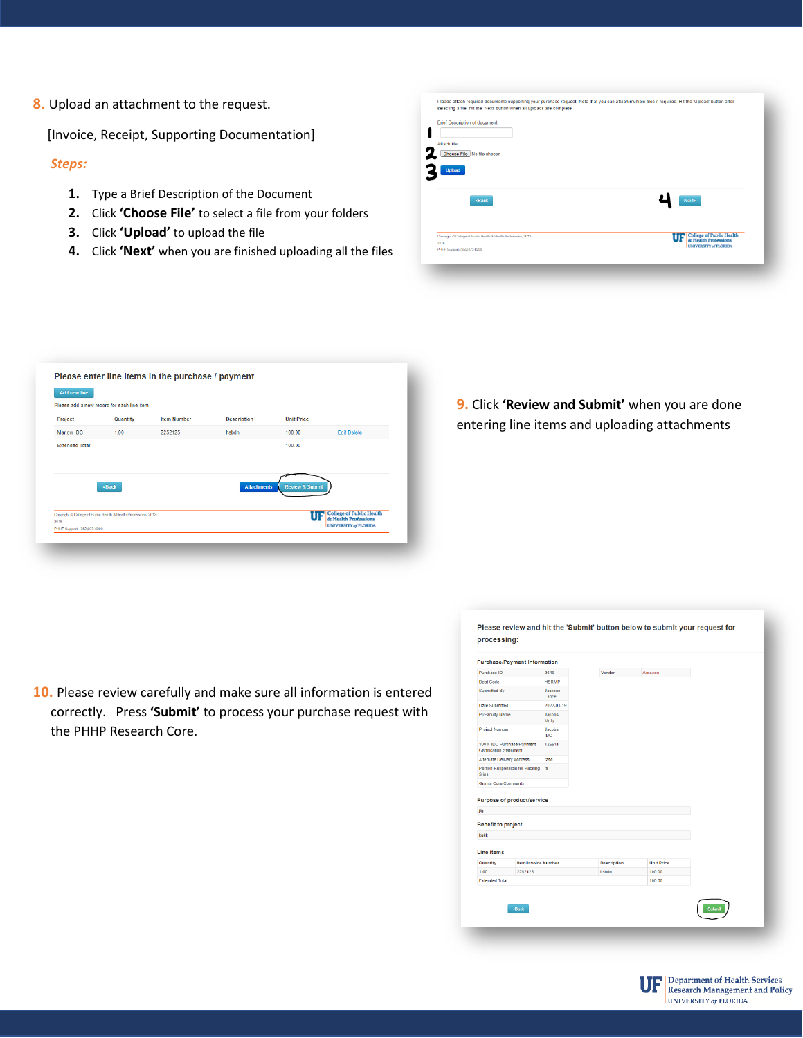**8.** Upload an attachment to the request.

[Invoice, Receipt, Supporting Documentation]

### *Steps:*

- **1.** Type a Brief Description of the Document
- **2.** Click **'Choose File'** to select a file from your folders
- **3.** Click **'Upload'** to upload the file
- **4.** Click **'Next'** when you are finished uploading all the files

| selecting a file. Hit the 'Next' button when all uploads are complete.   |                                    |
|--------------------------------------------------------------------------|------------------------------------|
| <b>Brief Description of document</b>                                     |                                    |
|                                                                          |                                    |
| Attach file:                                                             |                                    |
| Choose File No file chosen                                               |                                    |
| <b>Upload</b>                                                            |                                    |
| <back< td=""><td><b>Next</b></td></back<>                                | <b>Next</b>                        |
|                                                                          |                                    |
| Copyright © College of Public Health & Health Professions, 2012-<br>2016 | <b>UF</b> College of Public Health |
| PHHP Support: (352)273-6200                                              | <b>UNIVERSITY of FLORIDA</b>       |

| Add new line           |                                                                                                       |                    |                    |                            |                                                         |
|------------------------|-------------------------------------------------------------------------------------------------------|--------------------|--------------------|----------------------------|---------------------------------------------------------|
|                        | Please add a new record for each line item                                                            |                    |                    |                            |                                                         |
| Project                | Quantity                                                                                              | <b>Item Number</b> | <b>Description</b> | <b>Unit Price</b>          |                                                         |
| Marlow IDC             | 1.00                                                                                                  | 2252125            | hsbdn              | 100.00                     | <b>Edit Delete</b>                                      |
| <b>Extended Total:</b> |                                                                                                       |                    |                    | 100.00                     |                                                         |
|                        |                                                                                                       |                    |                    |                            |                                                         |
|                        |                                                                                                       |                    |                    |                            |                                                         |
|                        | <back< td=""><td></td><td><b>Attachments</b></td><td><b>Review &amp; Submit</b></td><td></td></back<> |                    | <b>Attachments</b> | <b>Review &amp; Submit</b> |                                                         |
|                        |                                                                                                       |                    |                    |                            |                                                         |
|                        |                                                                                                       |                    |                    |                            |                                                         |
|                        | Copyright © College of Public Health & Health Professions, 2012-                                      |                    |                    | UF                         | <b>College of Public Health</b><br>& Health Professions |
| 2016                   |                                                                                                       |                    |                    |                            |                                                         |

**9.** Click **'Review and Submit'** when you are done entering line items and uploading attachments

**10.** Please review carefully and make sure all information is entered correctly. Press **'Submit'** to process your purchase request with the PHHP Research Core.

| Purchase ID                                                                     |                                   | 9646                 | Vendor             | Amazon            |  |
|---------------------------------------------------------------------------------|-----------------------------------|----------------------|--------------------|-------------------|--|
| Dept Code                                                                       |                                   | <b>HSRMP</b>         |                    |                   |  |
| Submitted By                                                                    |                                   | Jackson.<br>Lance    |                    |                   |  |
| Date Submitted                                                                  |                                   | 2022-01-19           |                    |                   |  |
| <b>PI/Faculty Name</b>                                                          |                                   | Jacobs<br>Molly      |                    |                   |  |
| Project Number                                                                  |                                   | Jacobs<br><b>IDC</b> |                    |                   |  |
| <b>Certification Statement</b>                                                  | 100% IDC Purchase/Payment         | 125511               |                    |                   |  |
| Alternate Delivery Address                                                      |                                   | fasd                 |                    |                   |  |
|                                                                                 | Person Responsible for Packing    | f <sub>S</sub>       |                    |                   |  |
|                                                                                 |                                   |                      |                    |                   |  |
|                                                                                 | <b>Purpose of product/service</b> |                      |                    |                   |  |
|                                                                                 |                                   |                      |                    |                   |  |
| <b>Slips</b><br><b>Grants Core Comments</b><br>jfg<br><b>Benefit to project</b> |                                   |                      |                    |                   |  |
|                                                                                 |                                   |                      |                    |                   |  |
|                                                                                 |                                   |                      |                    |                   |  |
|                                                                                 | <b>Item/Invoice Number</b>        |                      | <b>Description</b> | <b>Unit Price</b> |  |
| kgkk<br>Line items<br>Quantity<br>1.00                                          | 2252125                           |                      | hsbdn              | 100.00            |  |
| <b>Extended Total:</b>                                                          |                                   |                      |                    | 100.00            |  |
|                                                                                 |                                   |                      |                    |                   |  |
|                                                                                 |                                   |                      |                    |                   |  |

Please review and hit the 'Submit' button below to submit your request for

processing: